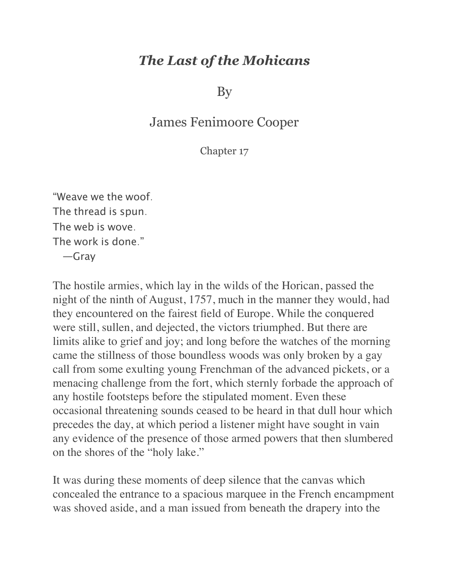## *The Last of the Mohicans*

By

## James Fenimoore Cooper

Chapter 17

"Weave we the woof. The thread is spun. The web is wove. The work is done." —Gray

The hostile armies, which lay in the wilds of the Horican, passed the night of the ninth of August, 1757, much in the manner they would, had they encountered on the fairest field of Europe. While the conquered were still, sullen, and dejected, the victors triumphed. But there are limits alike to grief and joy; and long before the watches of the morning came the stillness of those boundless woods was only broken by a gay call from some exulting young Frenchman of the advanced pickets, or a menacing challenge from the fort, which sternly forbade the approach of any hostile footsteps before the stipulated moment. Even these occasional threatening sounds ceased to be heard in that dull hour which precedes the day, at which period a listener might have sought in vain any evidence of the presence of those armed powers that then slumbered on the shores of the "holy lake."

It was during these moments of deep silence that the canvas which concealed the entrance to a spacious marquee in the French encampment was shoved aside, and a man issued from beneath the drapery into the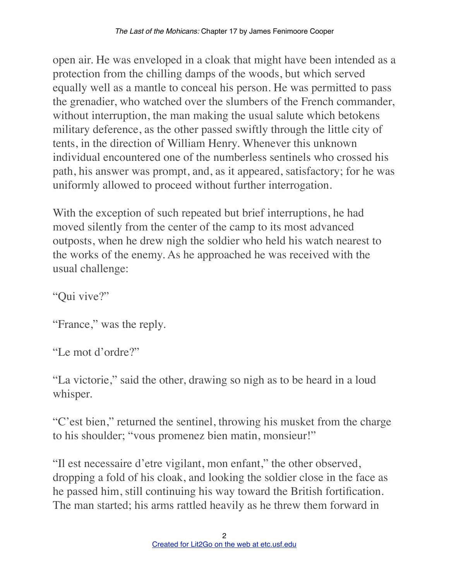open air. He was enveloped in a cloak that might have been intended as a protection from the chilling damps of the woods, but which served equally well as a mantle to conceal his person. He was permitted to pass the grenadier, who watched over the slumbers of the French commander, without interruption, the man making the usual salute which betokens military deference, as the other passed swiftly through the little city of tents, in the direction of William Henry. Whenever this unknown individual encountered one of the numberless sentinels who crossed his path, his answer was prompt, and, as it appeared, satisfactory; for he was uniformly allowed to proceed without further interrogation.

With the exception of such repeated but brief interruptions, he had moved silently from the center of the camp to its most advanced outposts, when he drew nigh the soldier who held his watch nearest to the works of the enemy. As he approached he was received with the usual challenge:

"Qui vive?"

"France," was the reply.

"Le mot d'ordre?"

"La victorie," said the other, drawing so nigh as to be heard in a loud whisper.

"C'est bien," returned the sentinel, throwing his musket from the charge to his shoulder; "vous promenez bien matin, monsieur!"

"Il est necessaire d'etre vigilant, mon enfant," the other observed, dropping a fold of his cloak, and looking the soldier close in the face as he passed him, still continuing his way toward the British fortification. The man started; his arms rattled heavily as he threw them forward in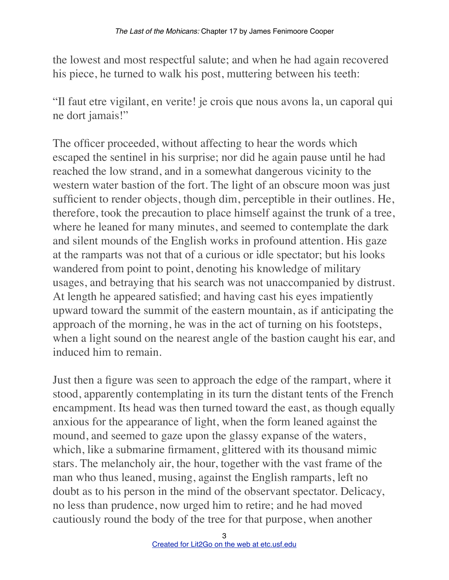the lowest and most respectful salute; and when he had again recovered his piece, he turned to walk his post, muttering between his teeth:

"Il faut etre vigilant, en verite! je crois que nous avons la, un caporal qui ne dort jamais!"

The officer proceeded, without affecting to hear the words which escaped the sentinel in his surprise; nor did he again pause until he had reached the low strand, and in a somewhat dangerous vicinity to the western water bastion of the fort. The light of an obscure moon was just sufficient to render objects, though dim, perceptible in their outlines. He, therefore, took the precaution to place himself against the trunk of a tree, where he leaned for many minutes, and seemed to contemplate the dark and silent mounds of the English works in profound attention. His gaze at the ramparts was not that of a curious or idle spectator; but his looks wandered from point to point, denoting his knowledge of military usages, and betraying that his search was not unaccompanied by distrust. At length he appeared satisfied; and having cast his eyes impatiently upward toward the summit of the eastern mountain, as if anticipating the approach of the morning, he was in the act of turning on his footsteps, when a light sound on the nearest angle of the bastion caught his ear, and induced him to remain.

Just then a figure was seen to approach the edge of the rampart, where it stood, apparently contemplating in its turn the distant tents of the French encampment. Its head was then turned toward the east, as though equally anxious for the appearance of light, when the form leaned against the mound, and seemed to gaze upon the glassy expanse of the waters, which, like a submarine firmament, glittered with its thousand mimic stars. The melancholy air, the hour, together with the vast frame of the man who thus leaned, musing, against the English ramparts, left no doubt as to his person in the mind of the observant spectator. Delicacy, no less than prudence, now urged him to retire; and he had moved cautiously round the body of the tree for that purpose, when another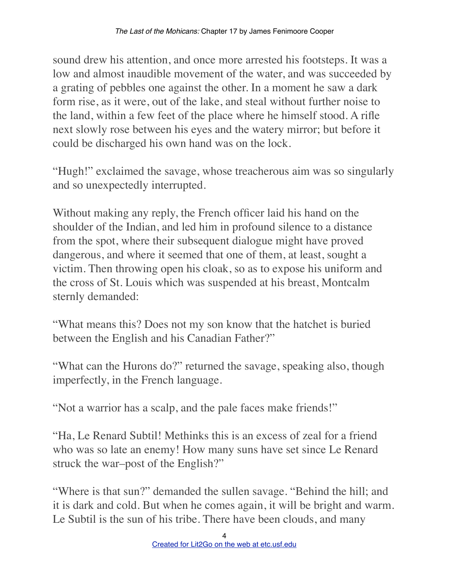sound drew his attention, and once more arrested his footsteps. It was a low and almost inaudible movement of the water, and was succeeded by a grating of pebbles one against the other. In a moment he saw a dark form rise, as it were, out of the lake, and steal without further noise to the land, within a few feet of the place where he himself stood. A rifle next slowly rose between his eyes and the watery mirror; but before it could be discharged his own hand was on the lock.

"Hugh!" exclaimed the savage, whose treacherous aim was so singularly and so unexpectedly interrupted.

Without making any reply, the French officer laid his hand on the shoulder of the Indian, and led him in profound silence to a distance from the spot, where their subsequent dialogue might have proved dangerous, and where it seemed that one of them, at least, sought a victim. Then throwing open his cloak, so as to expose his uniform and the cross of St. Louis which was suspended at his breast, Montcalm sternly demanded:

"What means this? Does not my son know that the hatchet is buried between the English and his Canadian Father?"

"What can the Hurons do?" returned the savage, speaking also, though imperfectly, in the French language.

"Not a warrior has a scalp, and the pale faces make friends!"

"Ha, Le Renard Subtil! Methinks this is an excess of zeal for a friend who was so late an enemy! How many suns have set since Le Renard struck the war–post of the English?"

"Where is that sun?" demanded the sullen savage. "Behind the hill; and it is dark and cold. But when he comes again, it will be bright and warm. Le Subtil is the sun of his tribe. There have been clouds, and many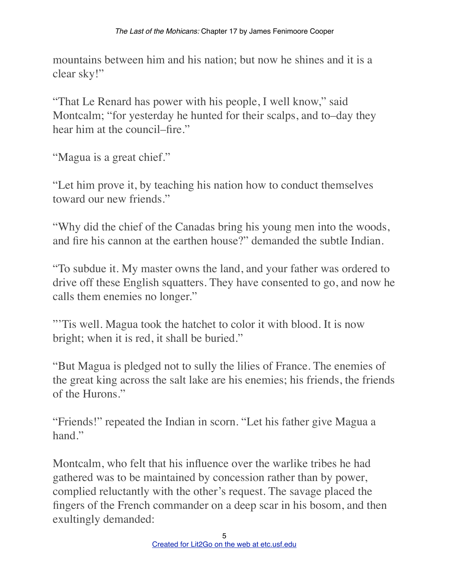mountains between him and his nation; but now he shines and it is a clear sky!"

"That Le Renard has power with his people, I well know," said Montcalm; "for yesterday he hunted for their scalps, and to–day they hear him at the council–fire."

"Magua is a great chief."

"Let him prove it, by teaching his nation how to conduct themselves toward our new friends"

"Why did the chief of the Canadas bring his young men into the woods, and fire his cannon at the earthen house?" demanded the subtle Indian.

"To subdue it. My master owns the land, and your father was ordered to drive off these English squatters. They have consented to go, and now he calls them enemies no longer."

"'Tis well. Magua took the hatchet to color it with blood. It is now bright; when it is red, it shall be buried."

"But Magua is pledged not to sully the lilies of France. The enemies of the great king across the salt lake are his enemies; his friends, the friends of the Hurons."

"Friends!" repeated the Indian in scorn. "Let his father give Magua a hand."

Montcalm, who felt that his influence over the warlike tribes he had gathered was to be maintained by concession rather than by power, complied reluctantly with the other's request. The savage placed the fingers of the French commander on a deep scar in his bosom, and then exultingly demanded: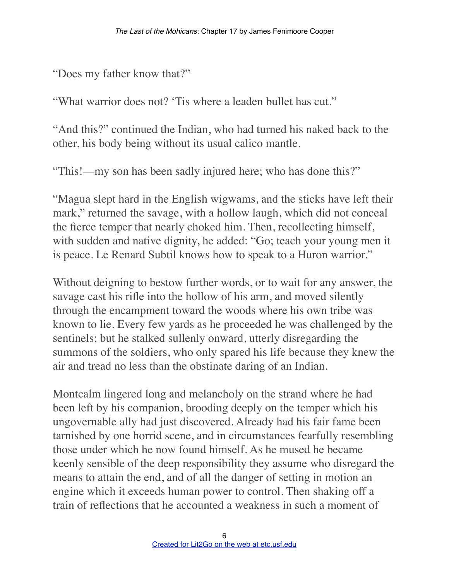"Does my father know that?"

"What warrior does not? 'Tis where a leaden bullet has cut."

"And this?" continued the Indian, who had turned his naked back to the other, his body being without its usual calico mantle.

"This!––my son has been sadly injured here; who has done this?"

"Magua slept hard in the English wigwams, and the sticks have left their mark," returned the savage, with a hollow laugh, which did not conceal the fierce temper that nearly choked him. Then, recollecting himself, with sudden and native dignity, he added: "Go; teach your young men it is peace. Le Renard Subtil knows how to speak to a Huron warrior."

Without deigning to bestow further words, or to wait for any answer, the savage cast his rifle into the hollow of his arm, and moved silently through the encampment toward the woods where his own tribe was known to lie. Every few yards as he proceeded he was challenged by the sentinels; but he stalked sullenly onward, utterly disregarding the summons of the soldiers, who only spared his life because they knew the air and tread no less than the obstinate daring of an Indian.

Montcalm lingered long and melancholy on the strand where he had been left by his companion, brooding deeply on the temper which his ungovernable ally had just discovered. Already had his fair fame been tarnished by one horrid scene, and in circumstances fearfully resembling those under which he now found himself. As he mused he became keenly sensible of the deep responsibility they assume who disregard the means to attain the end, and of all the danger of setting in motion an engine which it exceeds human power to control. Then shaking off a train of reflections that he accounted a weakness in such a moment of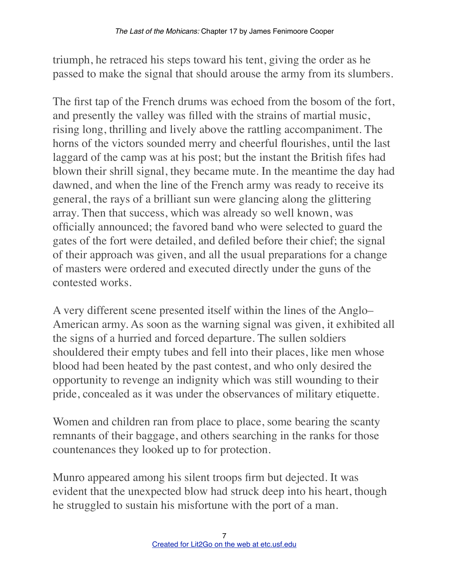triumph, he retraced his steps toward his tent, giving the order as he passed to make the signal that should arouse the army from its slumbers.

The first tap of the French drums was echoed from the bosom of the fort, and presently the valley was filled with the strains of martial music, rising long, thrilling and lively above the rattling accompaniment. The horns of the victors sounded merry and cheerful flourishes, until the last laggard of the camp was at his post; but the instant the British fifes had blown their shrill signal, they became mute. In the meantime the day had dawned, and when the line of the French army was ready to receive its general, the rays of a brilliant sun were glancing along the glittering array. Then that success, which was already so well known, was officially announced; the favored band who were selected to guard the gates of the fort were detailed, and defiled before their chief; the signal of their approach was given, and all the usual preparations for a change of masters were ordered and executed directly under the guns of the contested works.

A very different scene presented itself within the lines of the Anglo– American army. As soon as the warning signal was given, it exhibited all the signs of a hurried and forced departure. The sullen soldiers shouldered their empty tubes and fell into their places, like men whose blood had been heated by the past contest, and who only desired the opportunity to revenge an indignity which was still wounding to their pride, concealed as it was under the observances of military etiquette.

Women and children ran from place to place, some bearing the scanty remnants of their baggage, and others searching in the ranks for those countenances they looked up to for protection.

Munro appeared among his silent troops firm but dejected. It was evident that the unexpected blow had struck deep into his heart, though he struggled to sustain his misfortune with the port of a man.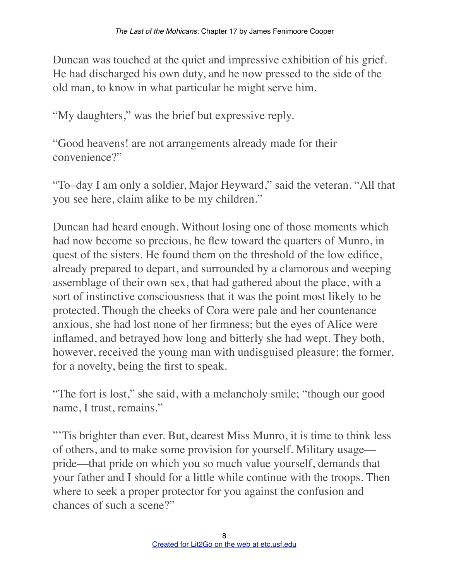Duncan was touched at the quiet and impressive exhibition of his grief. He had discharged his own duty, and he now pressed to the side of the old man, to know in what particular he might serve him.

"My daughters," was the brief but expressive reply.

"Good heavens! are not arrangements already made for their convenience?"

"To–day I am only a soldier, Major Heyward," said the veteran. "All that you see here, claim alike to be my children."

Duncan had heard enough. Without losing one of those moments which had now become so precious, he flew toward the quarters of Munro, in quest of the sisters. He found them on the threshold of the low edifice, already prepared to depart, and surrounded by a clamorous and weeping assemblage of their own sex, that had gathered about the place, with a sort of instinctive consciousness that it was the point most likely to be protected. Though the cheeks of Cora were pale and her countenance anxious, she had lost none of her firmness; but the eyes of Alice were inflamed, and betrayed how long and bitterly she had wept. They both, however, received the young man with undisguised pleasure; the former, for a novelty, being the first to speak.

"The fort is lost," she said, with a melancholy smile; "though our good name, I trust, remains."

"'Tis brighter than ever. But, dearest Miss Munro, it is time to think less of others, and to make some provision for yourself. Military usage–– pride––that pride on which you so much value yourself, demands that your father and I should for a little while continue with the troops. Then where to seek a proper protector for you against the confusion and chances of such a scene?"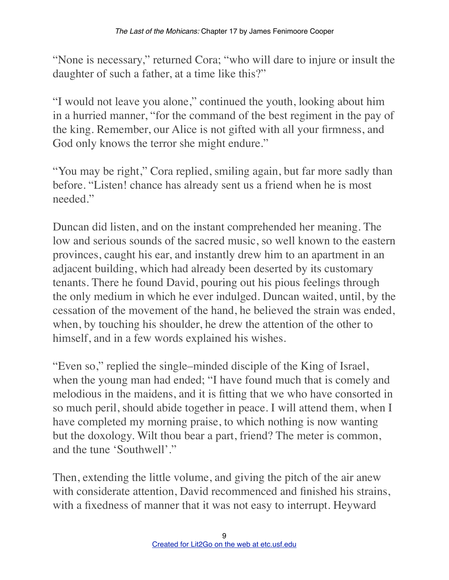"None is necessary," returned Cora; "who will dare to injure or insult the daughter of such a father, at a time like this?"

"I would not leave you alone," continued the youth, looking about him in a hurried manner, "for the command of the best regiment in the pay of the king. Remember, our Alice is not gifted with all your firmness, and God only knows the terror she might endure."

"You may be right," Cora replied, smiling again, but far more sadly than before. "Listen! chance has already sent us a friend when he is most needed."

Duncan did listen, and on the instant comprehended her meaning. The low and serious sounds of the sacred music, so well known to the eastern provinces, caught his ear, and instantly drew him to an apartment in an adjacent building, which had already been deserted by its customary tenants. There he found David, pouring out his pious feelings through the only medium in which he ever indulged. Duncan waited, until, by the cessation of the movement of the hand, he believed the strain was ended, when, by touching his shoulder, he drew the attention of the other to himself, and in a few words explained his wishes.

"Even so," replied the single–minded disciple of the King of Israel, when the young man had ended; "I have found much that is comely and melodious in the maidens, and it is fitting that we who have consorted in so much peril, should abide together in peace. I will attend them, when I have completed my morning praise, to which nothing is now wanting but the doxology. Wilt thou bear a part, friend? The meter is common, and the tune 'Southwell'."

Then, extending the little volume, and giving the pitch of the air anew with considerate attention, David recommenced and finished his strains, with a fixedness of manner that it was not easy to interrupt. Heyward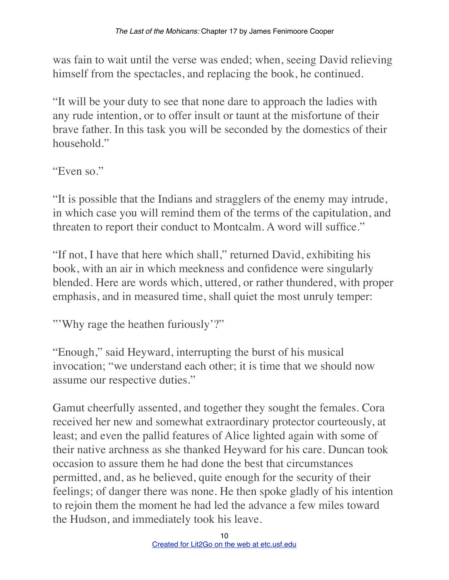was fain to wait until the verse was ended; when, seeing David relieving himself from the spectacles, and replacing the book, he continued.

"It will be your duty to see that none dare to approach the ladies with any rude intention, or to offer insult or taunt at the misfortune of their brave father. In this task you will be seconded by the domestics of their household."

"Even so."

"It is possible that the Indians and stragglers of the enemy may intrude, in which case you will remind them of the terms of the capitulation, and threaten to report their conduct to Montcalm. A word will suffice."

"If not, I have that here which shall," returned David, exhibiting his book, with an air in which meekness and confidence were singularly blended. Here are words which, uttered, or rather thundered, with proper emphasis, and in measured time, shall quiet the most unruly temper:

"'Why rage the heathen furiously'?"

"Enough," said Heyward, interrupting the burst of his musical invocation; "we understand each other; it is time that we should now assume our respective duties."

Gamut cheerfully assented, and together they sought the females. Cora received her new and somewhat extraordinary protector courteously, at least; and even the pallid features of Alice lighted again with some of their native archness as she thanked Heyward for his care. Duncan took occasion to assure them he had done the best that circumstances permitted, and, as he believed, quite enough for the security of their feelings; of danger there was none. He then spoke gladly of his intention to rejoin them the moment he had led the advance a few miles toward the Hudson, and immediately took his leave.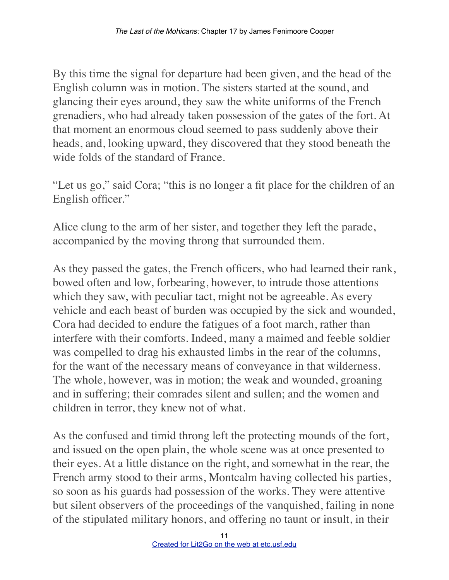By this time the signal for departure had been given, and the head of the English column was in motion. The sisters started at the sound, and glancing their eyes around, they saw the white uniforms of the French grenadiers, who had already taken possession of the gates of the fort. At that moment an enormous cloud seemed to pass suddenly above their heads, and, looking upward, they discovered that they stood beneath the wide folds of the standard of France.

"Let us go," said Cora; "this is no longer a fit place for the children of an English officer."

Alice clung to the arm of her sister, and together they left the parade, accompanied by the moving throng that surrounded them.

As they passed the gates, the French officers, who had learned their rank, bowed often and low, forbearing, however, to intrude those attentions which they saw, with peculiar tact, might not be agreeable. As every vehicle and each beast of burden was occupied by the sick and wounded, Cora had decided to endure the fatigues of a foot march, rather than interfere with their comforts. Indeed, many a maimed and feeble soldier was compelled to drag his exhausted limbs in the rear of the columns, for the want of the necessary means of conveyance in that wilderness. The whole, however, was in motion; the weak and wounded, groaning and in suffering; their comrades silent and sullen; and the women and children in terror, they knew not of what.

As the confused and timid throng left the protecting mounds of the fort, and issued on the open plain, the whole scene was at once presented to their eyes. At a little distance on the right, and somewhat in the rear, the French army stood to their arms, Montcalm having collected his parties, so soon as his guards had possession of the works. They were attentive but silent observers of the proceedings of the vanquished, failing in none of the stipulated military honors, and offering no taunt or insult, in their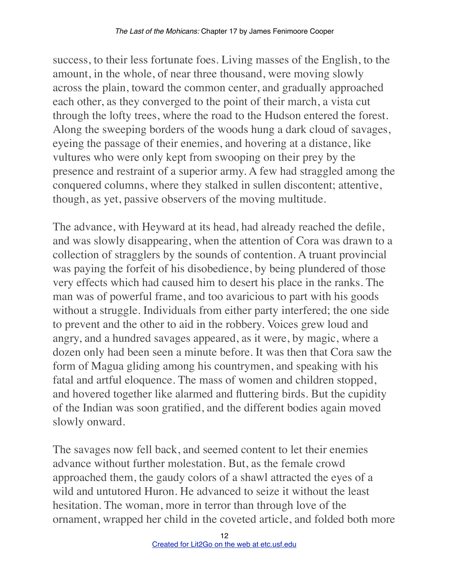success, to their less fortunate foes. Living masses of the English, to the amount, in the whole, of near three thousand, were moving slowly across the plain, toward the common center, and gradually approached each other, as they converged to the point of their march, a vista cut through the lofty trees, where the road to the Hudson entered the forest. Along the sweeping borders of the woods hung a dark cloud of savages, eyeing the passage of their enemies, and hovering at a distance, like vultures who were only kept from swooping on their prey by the presence and restraint of a superior army. A few had straggled among the conquered columns, where they stalked in sullen discontent; attentive, though, as yet, passive observers of the moving multitude.

The advance, with Heyward at its head, had already reached the defile, and was slowly disappearing, when the attention of Cora was drawn to a collection of stragglers by the sounds of contention. A truant provincial was paying the forfeit of his disobedience, by being plundered of those very effects which had caused him to desert his place in the ranks. The man was of powerful frame, and too avaricious to part with his goods without a struggle. Individuals from either party interfered; the one side to prevent and the other to aid in the robbery. Voices grew loud and angry, and a hundred savages appeared, as it were, by magic, where a dozen only had been seen a minute before. It was then that Cora saw the form of Magua gliding among his countrymen, and speaking with his fatal and artful eloquence. The mass of women and children stopped, and hovered together like alarmed and fluttering birds. But the cupidity of the Indian was soon gratified, and the different bodies again moved slowly onward.

The savages now fell back, and seemed content to let their enemies advance without further molestation. But, as the female crowd approached them, the gaudy colors of a shawl attracted the eyes of a wild and untutored Huron. He advanced to seize it without the least hesitation. The woman, more in terror than through love of the ornament, wrapped her child in the coveted article, and folded both more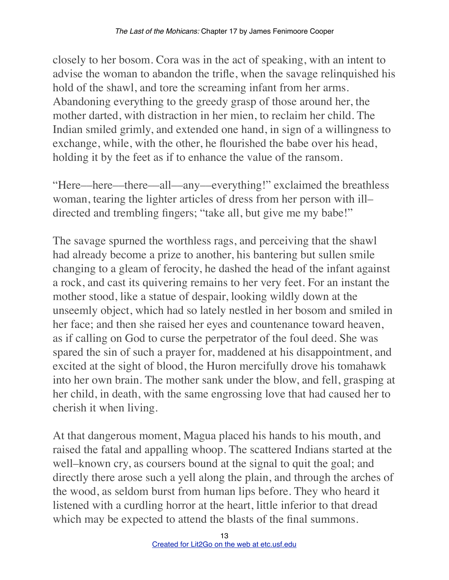closely to her bosom. Cora was in the act of speaking, with an intent to advise the woman to abandon the trifle, when the savage relinquished his hold of the shawl, and tore the screaming infant from her arms. Abandoning everything to the greedy grasp of those around her, the mother darted, with distraction in her mien, to reclaim her child. The Indian smiled grimly, and extended one hand, in sign of a willingness to exchange, while, with the other, he flourished the babe over his head, holding it by the feet as if to enhance the value of the ransom.

"Here––here––there––all––any––everything!" exclaimed the breathless woman, tearing the lighter articles of dress from her person with ill– directed and trembling fingers; "take all, but give me my babe!"

The savage spurned the worthless rags, and perceiving that the shawl had already become a prize to another, his bantering but sullen smile changing to a gleam of ferocity, he dashed the head of the infant against a rock, and cast its quivering remains to her very feet. For an instant the mother stood, like a statue of despair, looking wildly down at the unseemly object, which had so lately nestled in her bosom and smiled in her face; and then she raised her eyes and countenance toward heaven, as if calling on God to curse the perpetrator of the foul deed. She was spared the sin of such a prayer for, maddened at his disappointment, and excited at the sight of blood, the Huron mercifully drove his tomahawk into her own brain. The mother sank under the blow, and fell, grasping at her child, in death, with the same engrossing love that had caused her to cherish it when living.

At that dangerous moment, Magua placed his hands to his mouth, and raised the fatal and appalling whoop. The scattered Indians started at the well–known cry, as coursers bound at the signal to quit the goal; and directly there arose such a yell along the plain, and through the arches of the wood, as seldom burst from human lips before. They who heard it listened with a curdling horror at the heart, little inferior to that dread which may be expected to attend the blasts of the final summons.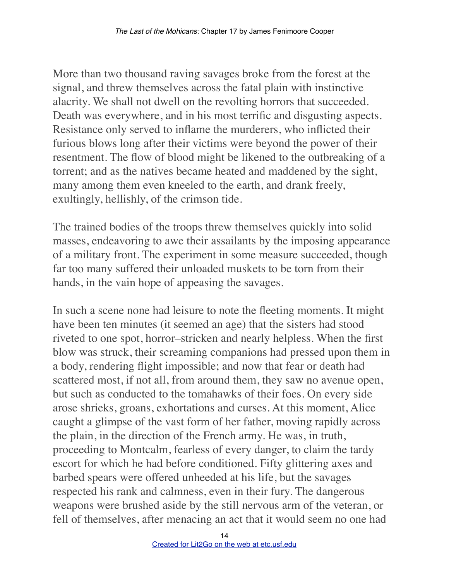More than two thousand raving savages broke from the forest at the signal, and threw themselves across the fatal plain with instinctive alacrity. We shall not dwell on the revolting horrors that succeeded. Death was everywhere, and in his most terrific and disgusting aspects. Resistance only served to inflame the murderers, who inflicted their furious blows long after their victims were beyond the power of their resentment. The flow of blood might be likened to the outbreaking of a torrent; and as the natives became heated and maddened by the sight, many among them even kneeled to the earth, and drank freely, exultingly, hellishly, of the crimson tide.

The trained bodies of the troops threw themselves quickly into solid masses, endeavoring to awe their assailants by the imposing appearance of a military front. The experiment in some measure succeeded, though far too many suffered their unloaded muskets to be torn from their hands, in the vain hope of appeasing the savages.

In such a scene none had leisure to note the fleeting moments. It might have been ten minutes (it seemed an age) that the sisters had stood riveted to one spot, horror–stricken and nearly helpless. When the first blow was struck, their screaming companions had pressed upon them in a body, rendering flight impossible; and now that fear or death had scattered most, if not all, from around them, they saw no avenue open, but such as conducted to the tomahawks of their foes. On every side arose shrieks, groans, exhortations and curses. At this moment, Alice caught a glimpse of the vast form of her father, moving rapidly across the plain, in the direction of the French army. He was, in truth, proceeding to Montcalm, fearless of every danger, to claim the tardy escort for which he had before conditioned. Fifty glittering axes and barbed spears were offered unheeded at his life, but the savages respected his rank and calmness, even in their fury. The dangerous weapons were brushed aside by the still nervous arm of the veteran, or fell of themselves, after menacing an act that it would seem no one had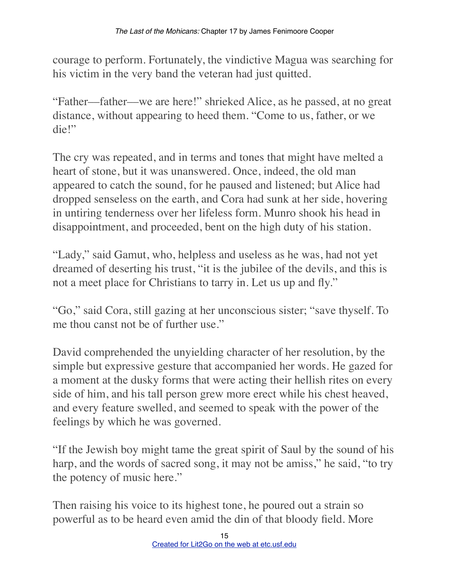courage to perform. Fortunately, the vindictive Magua was searching for his victim in the very band the veteran had just quitted.

"Father––father––we are here!" shrieked Alice, as he passed, at no great distance, without appearing to heed them. "Come to us, father, or we die!"

The cry was repeated, and in terms and tones that might have melted a heart of stone, but it was unanswered. Once, indeed, the old man appeared to catch the sound, for he paused and listened; but Alice had dropped senseless on the earth, and Cora had sunk at her side, hovering in untiring tenderness over her lifeless form. Munro shook his head in disappointment, and proceeded, bent on the high duty of his station.

"Lady," said Gamut, who, helpless and useless as he was, had not yet dreamed of deserting his trust, "it is the jubilee of the devils, and this is not a meet place for Christians to tarry in. Let us up and fly."

"Go," said Cora, still gazing at her unconscious sister; "save thyself. To me thou canst not be of further use."

David comprehended the unyielding character of her resolution, by the simple but expressive gesture that accompanied her words. He gazed for a moment at the dusky forms that were acting their hellish rites on every side of him, and his tall person grew more erect while his chest heaved, and every feature swelled, and seemed to speak with the power of the feelings by which he was governed.

"If the Jewish boy might tame the great spirit of Saul by the sound of his harp, and the words of sacred song, it may not be amiss," he said, "to try the potency of music here."

Then raising his voice to its highest tone, he poured out a strain so powerful as to be heard even amid the din of that bloody field. More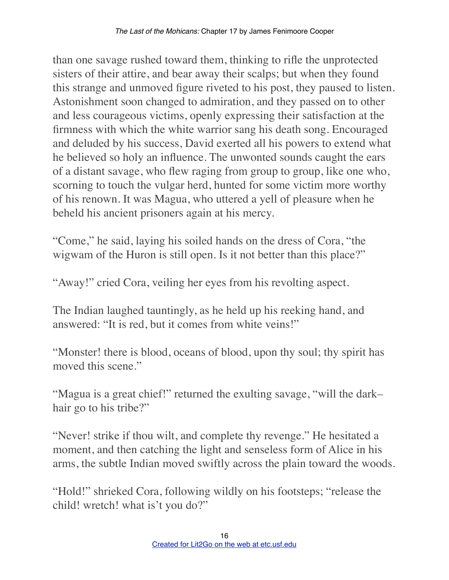than one savage rushed toward them, thinking to rifle the unprotected sisters of their attire, and bear away their scalps; but when they found this strange and unmoved figure riveted to his post, they paused to listen. Astonishment soon changed to admiration, and they passed on to other and less courageous victims, openly expressing their satisfaction at the firmness with which the white warrior sang his death song. Encouraged and deluded by his success, David exerted all his powers to extend what he believed so holy an influence. The unwonted sounds caught the ears of a distant savage, who flew raging from group to group, like one who, scorning to touch the vulgar herd, hunted for some victim more worthy of his renown. It was Magua, who uttered a yell of pleasure when he beheld his ancient prisoners again at his mercy.

"Come," he said, laying his soiled hands on the dress of Cora, "the wigwam of the Huron is still open. Is it not better than this place?"

"Away!" cried Cora, veiling her eyes from his revolting aspect.

The Indian laughed tauntingly, as he held up his reeking hand, and answered: "It is red, but it comes from white veins!"

"Monster! there is blood, oceans of blood, upon thy soul; thy spirit has moved this scene."

"Magua is a great chief!" returned the exulting savage, "will the dark– hair go to his tribe?"

"Never! strike if thou wilt, and complete thy revenge." He hesitated a moment, and then catching the light and senseless form of Alice in his arms, the subtle Indian moved swiftly across the plain toward the woods.

"Hold!" shrieked Cora, following wildly on his footsteps; "release the child! wretch! what is't you do?"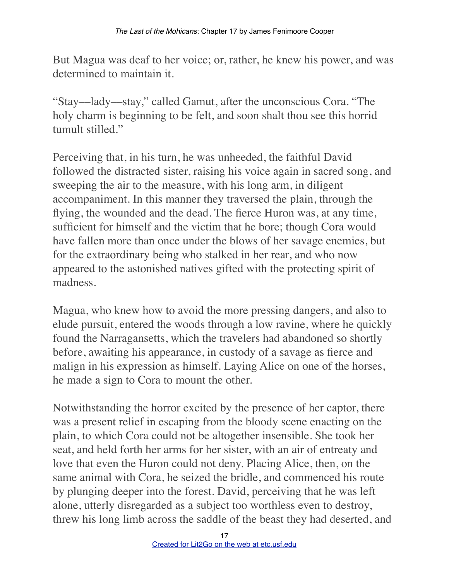But Magua was deaf to her voice; or, rather, he knew his power, and was determined to maintain it.

"Stay––lady––stay," called Gamut, after the unconscious Cora. "The holy charm is beginning to be felt, and soon shalt thou see this horrid tumult stilled."

Perceiving that, in his turn, he was unheeded, the faithful David followed the distracted sister, raising his voice again in sacred song, and sweeping the air to the measure, with his long arm, in diligent accompaniment. In this manner they traversed the plain, through the flying, the wounded and the dead. The fierce Huron was, at any time, sufficient for himself and the victim that he bore; though Cora would have fallen more than once under the blows of her savage enemies, but for the extraordinary being who stalked in her rear, and who now appeared to the astonished natives gifted with the protecting spirit of madness.

Magua, who knew how to avoid the more pressing dangers, and also to elude pursuit, entered the woods through a low ravine, where he quickly found the Narragansetts, which the travelers had abandoned so shortly before, awaiting his appearance, in custody of a savage as fierce and malign in his expression as himself. Laying Alice on one of the horses, he made a sign to Cora to mount the other.

Notwithstanding the horror excited by the presence of her captor, there was a present relief in escaping from the bloody scene enacting on the plain, to which Cora could not be altogether insensible. She took her seat, and held forth her arms for her sister, with an air of entreaty and love that even the Huron could not deny. Placing Alice, then, on the same animal with Cora, he seized the bridle, and commenced his route by plunging deeper into the forest. David, perceiving that he was left alone, utterly disregarded as a subject too worthless even to destroy, threw his long limb across the saddle of the beast they had deserted, and